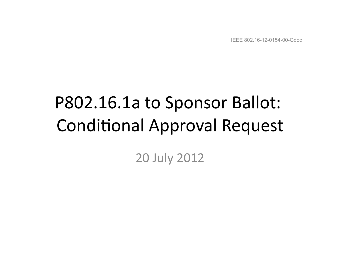IEEE 802.16-12-0154-00-Gdoc

# P802.16.1a to Sponsor Ballot: **Conditional Approval Request**

#### 20 July 2012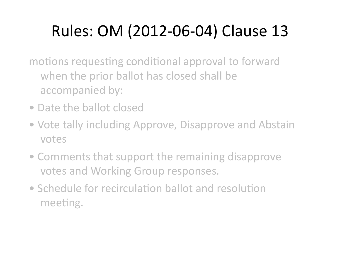### Rules: OM (2012-06-04) Clause 13

motions requesting conditional approval to forward when the prior ballot has closed shall be accompanied by:

- Date the ballot closed
- Vote tally including Approve, Disapprove and Abstain votes
- Comments that support the remaining disapprove votes and Working Group responses.
- Schedule for recirculation ballot and resolution meeting.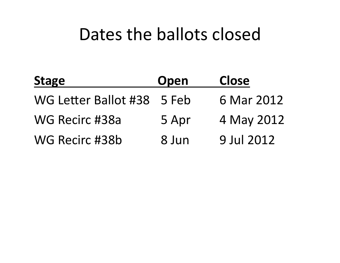### Dates the ballots closed

| <b>Stage</b>               | Open  | <b>Close</b> |
|----------------------------|-------|--------------|
| WG Letter Ballot #38 5 Feb |       | 6 Mar 2012   |
| WG Recirc #38a             | 5 Apr | 4 May 2012   |
| WG Recirc #38b             | 8 Jun | 9 Jul 2012   |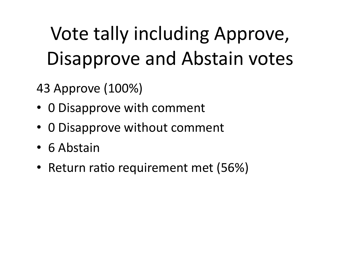## Vote tally including Approve, Disapprove and Abstain votes

43 Approve (100%) 

- 0 Disapprove with comment
- 0 Disapprove without comment
- 6 Abstain
- Return ratio requirement met (56%)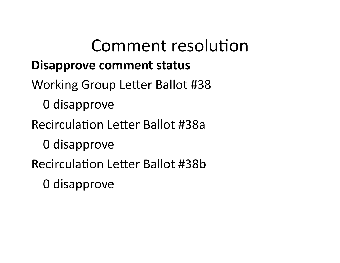### Comment resolution **Disapprove comment status**

- Working Group Letter Ballot #38
	- 0 disapprove
- Recirculation Letter Ballot #38a
	- 0 disapprove
- Recirculation Letter Ballot #38b
	- 0 disapprove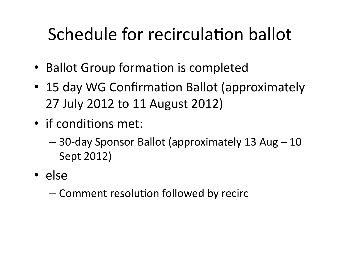## Schedule for recirculation ballot

- Ballot Group formation is completed
- 15 day WG Confirmation Ballot (approximately 27 July 2012 to 11 August 2012)
- if conditions met:
	- $-$  30-day Sponsor Ballot (approximately 13 Aug 10 Sept 2012)
- else
	- Comment resolution followed by recirc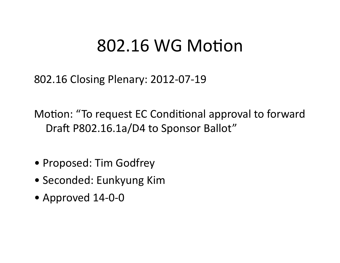### 802.16 WG Motion

802.16 Closing Plenary: 2012-07-19 

Motion: "To request EC Conditional approval to forward Draft P802.16.1a/D4 to Sponsor Ballot"

- Proposed: Tim Godfrey
- Seconded: Eunkyung Kim
- Approved 14-0-0